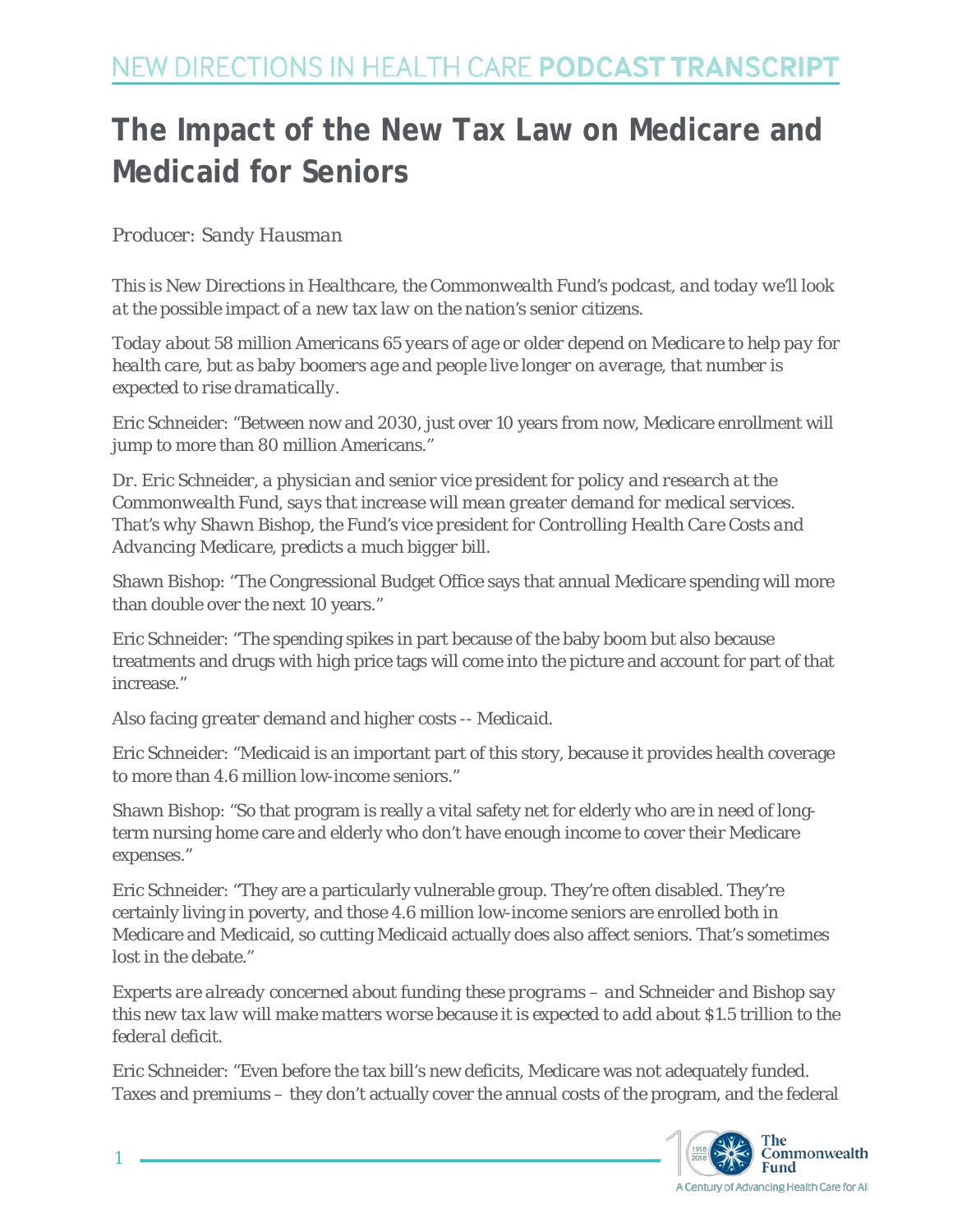# **The Impact of the New Tax Law on Medicare and Medicaid for Seniors**

*Producer: Sandy Hausman*

*This is New Directions in Healthcare, the Commonwealth Fund's podcast, and today we'll look at the possible impact of a new tax law on the nation's senior citizens.*

*Today about 58 million Americans 65 years of age or older depend on Medicare to help pay for health care, but as baby boomers age and people live longer on average, that number is expected to rise dramatically.*

Eric Schneider: "Between now and 2030, just over 10 years from now, Medicare enrollment will jump to more than 80 million Americans."

*Dr. Eric Schneider, a physician and senior vice president for policy and research at the Commonwealth Fund, says that increase will mean greater demand for medical services. That's why Shawn Bishop, the Fund's vice president for Controlling Health Care Costs and Advancing Medicare, predicts a much bigger bill.*

Shawn Bishop: "The Congressional Budget Office says that annual Medicare spending will more than double over the next 10 years."

Eric Schneider: "The spending spikes in part because of the baby boom but also because treatments and drugs with high price tags will come into the picture and account for part of that increase."

*Also facing greater demand and higher costs -- Medicaid.*

Eric Schneider: "Medicaid is an important part of this story, because it provides health coverage to more than 4.6 million low-income seniors."

Shawn Bishop: "So that program is really a vital safety net for elderly who are in need of longterm nursing home care and elderly who don't have enough income to cover their Medicare expenses."

Eric Schneider: "They are a particularly vulnerable group. They're often disabled. They're certainly living in poverty, and those 4.6 million low-income seniors are enrolled both in Medicare and Medicaid, so cutting Medicaid actually does also affect seniors. That's sometimes lost in the debate."

*Experts are already concerned about funding these programs – and Schneider and Bishop say this new tax law will make matters worse because it is expected to add about \$1.5 trillion to the federal deficit.* 

Eric Schneider: "Even before the tax bill's new deficits, Medicare was not adequately funded. Taxes and premiums – they don't actually cover the annual costs of the program, and the federal



1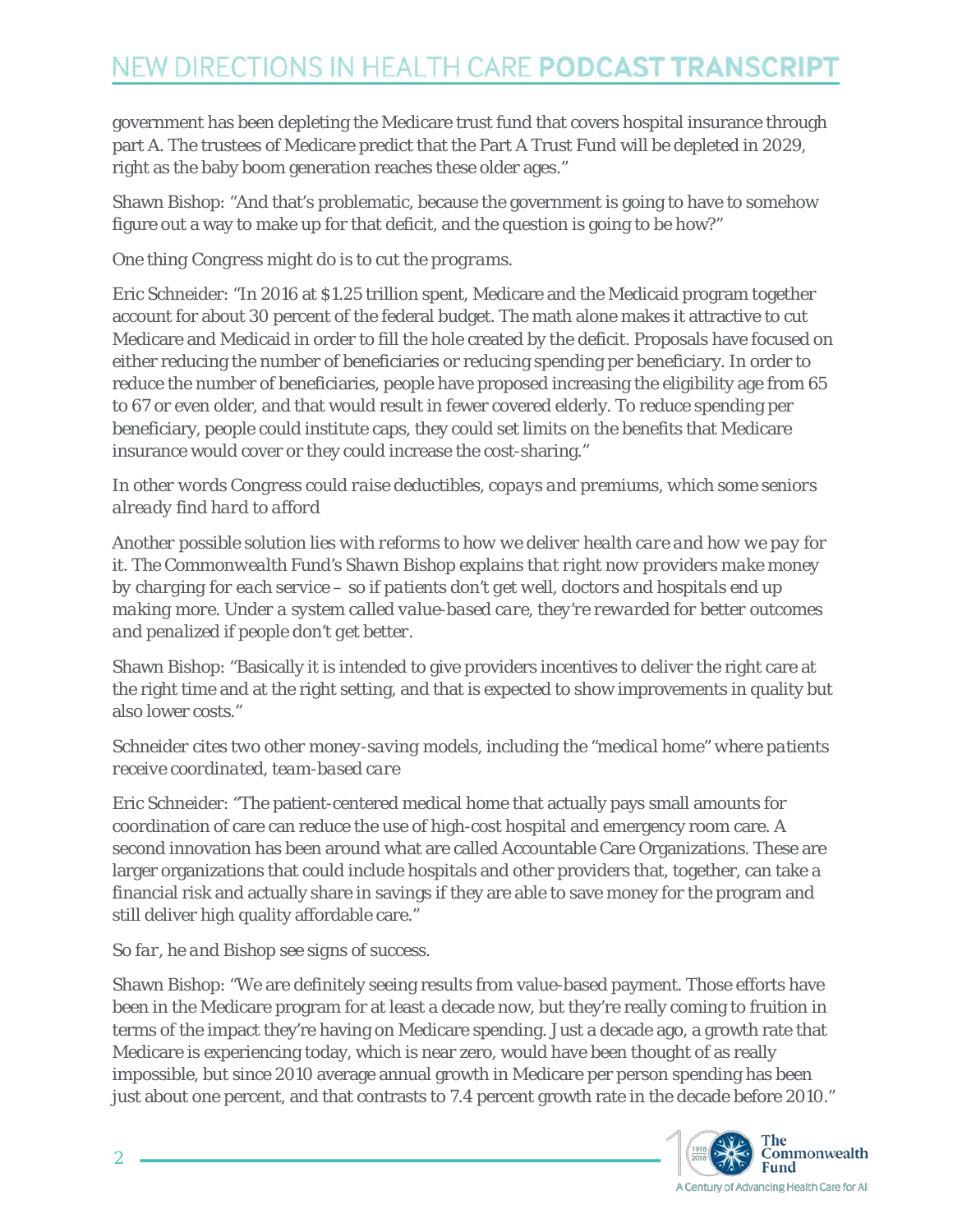government has been depleting the Medicare trust fund that covers hospital insurance through part A. The trustees of Medicare predict that the Part A Trust Fund will be depleted in 2029, right as the baby boom generation reaches these older ages."

Shawn Bishop: "And that's problematic, because the government is going to have to somehow figure out a way to make up for that deficit, and the question is going to be how?"

#### *One thing Congress might do is to cut the programs.*

Eric Schneider: "In 2016 at \$1.25 trillion spent, Medicare and the Medicaid program together account for about 30 percent of the federal budget. The math alone makes it attractive to cut Medicare and Medicaid in order to fill the hole created by the deficit. Proposals have focused on either reducing the number of beneficiaries or reducing spending per beneficiary. In order to reduce the number of beneficiaries, people have proposed increasing the eligibility age from 65 to 67 or even older, and that would result in fewer covered elderly. To reduce spending per beneficiary, people could institute caps, they could set limits on the benefits that Medicare insurance would cover or they could increase the cost-sharing."

### *In other words Congress could raise deductibles, copays and premiums, which some seniors already find hard to afford*

*Another possible solution lies with reforms to how we deliver health care and how we pay for it. The Commonwealth Fund's Shawn Bishop explains that right now providers make money by charging for each service – so if patients don't get well, doctors and hospitals end up making more. Under a system called value-based care, they're rewarded for better outcomes and penalized if people don't get better.*

Shawn Bishop: "Basically it is intended to give providers incentives to deliver the right care at the right time and at the right setting, and that is expected to show improvements in quality but also lower costs."

### *Schneider cites two other money-saving models, including the "medical home" where patients receive coordinated, team-based care*

Eric Schneider: "The patient-centered medical home that actually pays small amounts for coordination of care can reduce the use of high-cost hospital and emergency room care. A second innovation has been around what are called Accountable Care Organizations. These are larger organizations that could include hospitals and other providers that, together, can take a financial risk and actually share in savings if they are able to save money for the program and still deliver high quality affordable care."

## *So far, he and Bishop see signs of success.*

Shawn Bishop: "We are definitely seeing results from value-based payment. Those efforts have been in the Medicare program for at least a decade now, but they're really coming to fruition in terms of the impact they're having on Medicare spending. Just a decade ago, a growth rate that Medicare is experiencing today, which is near zero, would have been thought of as really impossible, but since 2010 average annual growth in Medicare per person spending has been just about one percent, and that contrasts to 7.4 percent growth rate in the decade before 2010."